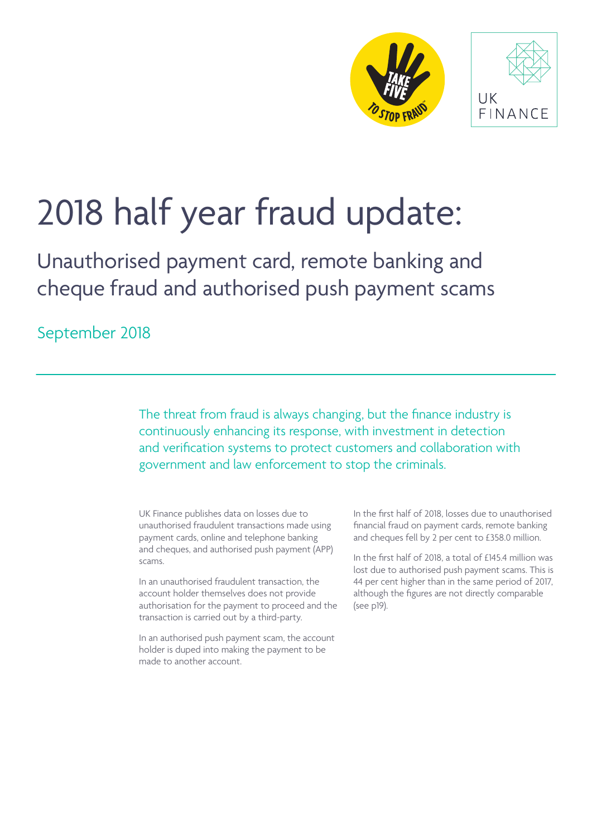



# 2018 half year fraud update:

Unauthorised payment card, remote banking and cheque fraud and authorised push payment scams

September 2018

The threat from fraud is always changing, but the finance industry is continuously enhancing its response, with investment in detection and verification systems to protect customers and collaboration with government and law enforcement to stop the criminals.

UK Finance publishes data on losses due to unauthorised fraudulent transactions made using payment cards, online and telephone banking and cheques, and authorised push payment (APP) scams.

In an unauthorised fraudulent transaction, the account holder themselves does not provide authorisation for the payment to proceed and the transaction is carried out by a third-party.

In an authorised push payment scam, the account holder is duped into making the payment to be made to another account.

In the first half of 2018, losses due to unauthorised financial fraud on payment cards, remote banking and cheques fell by 2 per cent to £358.0 million.

In the first half of 2018, a total of £145.4 million was lost due to authorised push payment scams. This is 44 per cent higher than in the same period of 2017, although the figures are not directly comparable (see p19).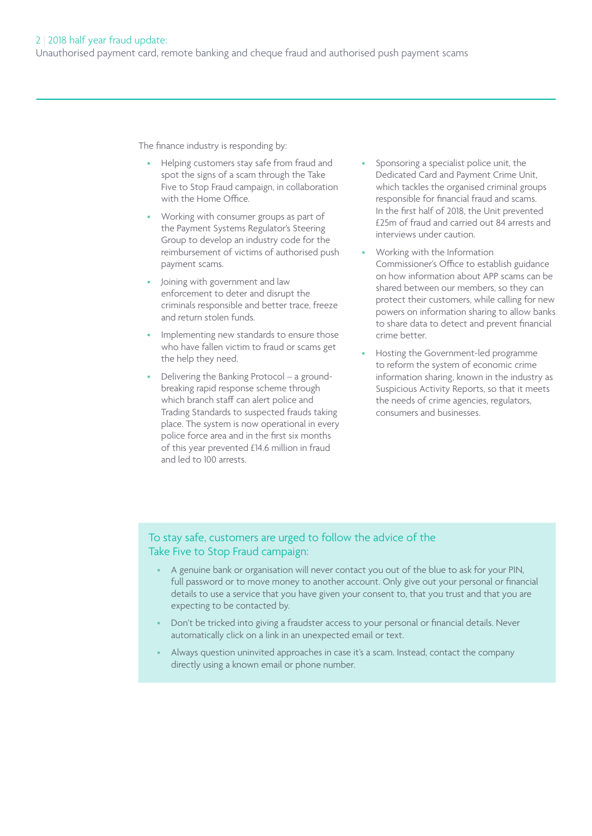The finance industry is responding by:

- Helping customers stay safe from fraud and spot the signs of a scam through the Take Five to Stop Fraud campaign, in collaboration with the Home Office.
- Working with consumer groups as part of the Payment Systems Regulator's Steering Group to develop an industry code for the reimbursement of victims of authorised push payment scams.
- Joining with government and law enforcement to deter and disrupt the criminals responsible and better trace, freeze and return stolen funds.
- Implementing new standards to ensure those who have fallen victim to fraud or scams get the help they need.
- Delivering the Banking Protocol a groundbreaking rapid response scheme through which branch staff can alert police and Trading Standards to suspected frauds taking place. The system is now operational in every police force area and in the first six months of this year prevented £14.6 million in fraud and led to 100 arrests.
- Sponsoring a specialist police unit, the Dedicated Card and Payment Crime Unit, which tackles the organised criminal groups responsible for financial fraud and scams. In the first half of 2018, the Unit prevented £25m of fraud and carried out 84 arrests and interviews under caution.
- Working with the Information Commissioner's Office to establish guidance on how information about APP scams can be shared between our members, so they can protect their customers, while calling for new powers on information sharing to allow banks to share data to detect and prevent financial crime better.
- Hosting the Government-led programme to reform the system of economic crime information sharing, known in the industry as Suspicious Activity Reports, so that it meets the needs of crime agencies, regulators, consumers and businesses.

## To stay safe, customers are urged to follow the advice of the Take Five to Stop Fraud campaign:

- A genuine bank or organisation will never contact you out of the blue to ask for your PIN, full password or to move money to another account. Only give out your personal or financial details to use a service that you have given your consent to, that you trust and that you are expecting to be contacted by.
- Don't be tricked into giving a fraudster access to your personal or financial details. Never automatically click on a link in an unexpected email or text.
- Always question uninvited approaches in case it's a scam. Instead, contact the company directly using a known email or phone number.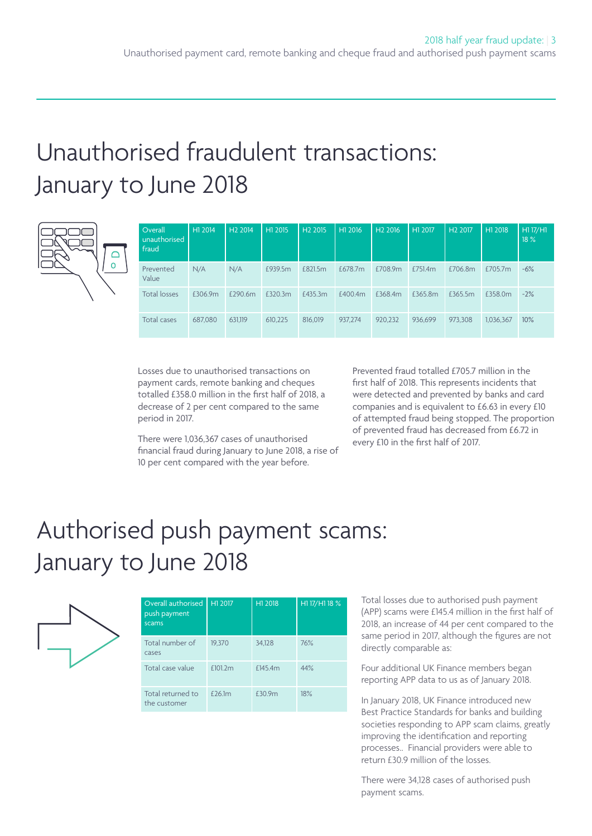# Unauthorised fraudulent transactions: January to June 2018

| Overall<br>unauthorised<br>fraud | H1 2014 | H <sub>2</sub> 2014 | H1 2015 | H <sub>2</sub> 2015 | H1 2016 | H <sub>2</sub> 2016 | H1 2017 | H <sub>2</sub> 2017 | H1 2018   | H117/H1<br>18% |
|----------------------------------|---------|---------------------|---------|---------------------|---------|---------------------|---------|---------------------|-----------|----------------|
| Prevented<br>Value               | N/A     | N/A                 | £939.5m | £821.5m             | £678.7m | £708.9m             | £751.4m | £706.8m             | £705.7m   | $-6%$          |
| <b>Total losses</b>              | £306.9m | £290.6m             | £320.3m | £435.3m             | £400.4m | £368.4m             | £365.8m | £365.5m             | £358.0m   | $-2%$          |
| Total cases                      | 687,080 | 631.119             | 610,225 | 816,019             | 937.274 | 920.232             | 936.699 | 973.308             | 1,036,367 | 10%            |

Losses due to unauthorised transactions on payment cards, remote banking and cheques totalled £358.0 million in the first half of 2018, a decrease of 2 per cent compared to the same period in 2017.

There were 1,036,367 cases of unauthorised financial fraud during January to June 2018, a rise of 10 per cent compared with the year before.

Prevented fraud totalled £705.7 million in the first half of 2018. This represents incidents that were detected and prevented by banks and card companies and is equivalent to £6.63 in every £10 of attempted fraud being stopped. The proportion of prevented fraud has decreased from £6.72 in every £10 in the first half of 2017.

# Authorised push payment scams: January to June 2018



| Overall authorised<br>push payment<br>scams | H1 2017    | H1 2018 | H1 17/H1 18 % |
|---------------------------------------------|------------|---------|---------------|
| Total number of<br>cases                    | 19.370     | 34.128  | 76%           |
| Total case value                            | £101.2m    | £145.4m | 44%           |
| Total returned to<br>the customer           | $f$ 26 $m$ | £30.9m  | 18%           |

Total losses due to authorised push payment (APP) scams were £145.4 million in the first half of 2018, an increase of 44 per cent compared to the same period in 2017, although the figures are not directly comparable as:

Four additional UK Finance members began reporting APP data to us as of January 2018.

In January 2018, UK Finance introduced new Best Practice Standards for banks and building societies responding to APP scam claims, greatly improving the identification and reporting processes.. Financial providers were able to return £30.9 million of the losses.

There were 34,128 cases of authorised push payment scams.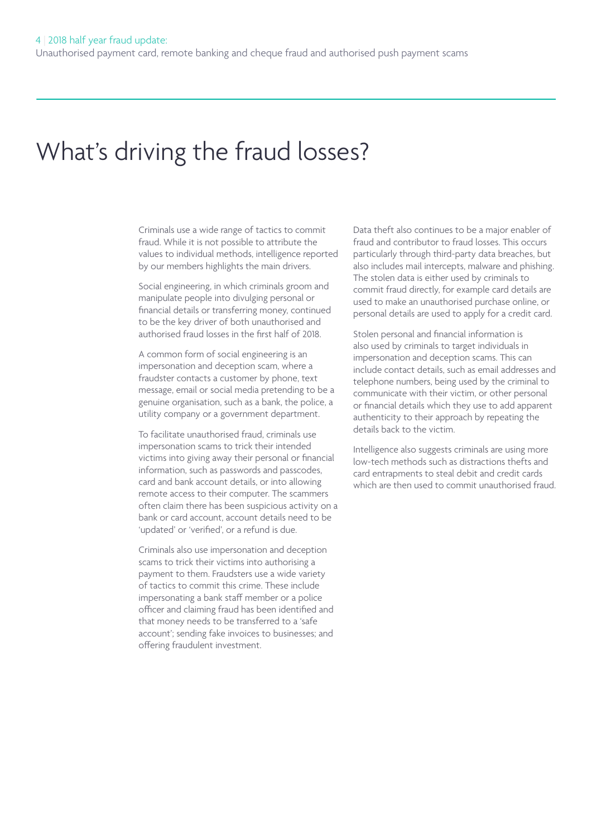# What's driving the fraud losses?

Criminals use a wide range of tactics to commit fraud. While it is not possible to attribute the values to individual methods, intelligence reported by our members highlights the main drivers.

Social engineering, in which criminals groom and manipulate people into divulging personal or financial details or transferring money, continued to be the key driver of both unauthorised and authorised fraud losses in the first half of 2018.

A common form of social engineering is an impersonation and deception scam, where a fraudster contacts a customer by phone, text message, email or social media pretending to be a genuine organisation, such as a bank, the police, a utility company or a government department.

To facilitate unauthorised fraud, criminals use impersonation scams to trick their intended victims into giving away their personal or financial information, such as passwords and passcodes, card and bank account details, or into allowing remote access to their computer. The scammers often claim there has been suspicious activity on a bank or card account, account details need to be 'updated' or 'verified', or a refund is due.

Criminals also use impersonation and deception scams to trick their victims into authorising a payment to them. Fraudsters use a wide variety of tactics to commit this crime. These include impersonating a bank staff member or a police officer and claiming fraud has been identified and that money needs to be transferred to a 'safe account'; sending fake invoices to businesses; and offering fraudulent investment.

Data theft also continues to be a major enabler of fraud and contributor to fraud losses. This occurs particularly through third-party data breaches, but also includes mail intercepts, malware and phishing. The stolen data is either used by criminals to commit fraud directly, for example card details are used to make an unauthorised purchase online, or personal details are used to apply for a credit card.

Stolen personal and financial information is also used by criminals to target individuals in impersonation and deception scams. This can include contact details, such as email addresses and telephone numbers, being used by the criminal to communicate with their victim, or other personal or financial details which they use to add apparent authenticity to their approach by repeating the details back to the victim.

Intelligence also suggests criminals are using more low-tech methods such as distractions thefts and card entrapments to steal debit and credit cards which are then used to commit unauthorised fraud.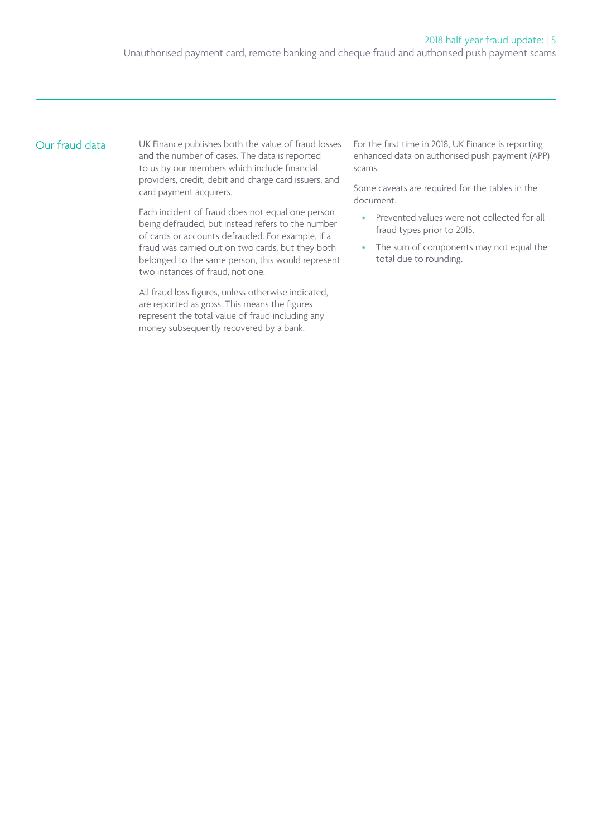# Our fraud data

UK Finance publishes both the value of fraud losses and the number of cases. The data is reported to us by our members which include financial providers, credit, debit and charge card issuers, and card payment acquirers.

Each incident of fraud does not equal one person being defrauded, but instead refers to the number of cards or accounts defrauded. For example, if a fraud was carried out on two cards, but they both belonged to the same person, this would represent two instances of fraud, not one.

All fraud loss figures, unless otherwise indicated, are reported as gross. This means the figures represent the total value of fraud including any money subsequently recovered by a bank.

For the first time in 2018, UK Finance is reporting enhanced data on authorised push payment (APP) scams.

Some caveats are required for the tables in the document.

- Prevented values were not collected for all fraud types prior to 2015.
- The sum of components may not equal the total due to rounding.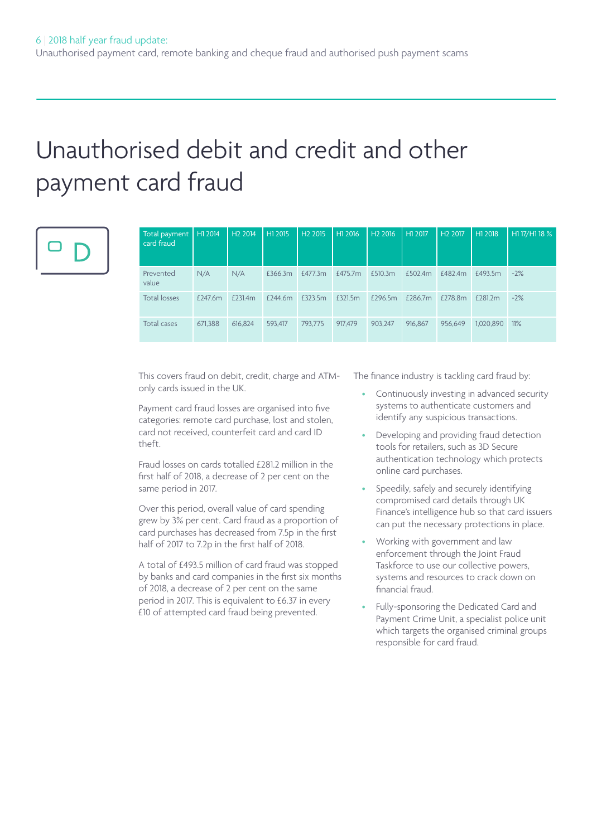# Unauthorised debit and credit and other payment card fraud



| Total payment  <br>card fraud | H1 2014 | H <sub>2</sub> 2014 | H1 2015 | H <sub>2</sub> 2015 | H1 2016 | H <sub>2</sub> 2016 | H1 2017 | H <sub>2</sub> 2017 | H1 2018   | H1 17/H1 18 % |
|-------------------------------|---------|---------------------|---------|---------------------|---------|---------------------|---------|---------------------|-----------|---------------|
| Prevented<br>value            | N/A     | N/A                 | £366.3m | £477.3m             | £475.7m | £510.3m             | £502.4m | £482.4m             | £493.5m   | $-2%$         |
| <b>Total losses</b>           | £247.6m | £231.4m             | £244.6m | £323.5m             | £321.5m | £296.5m             | £286.7m | £278.8m             | £281.2m   | $-2%$         |
| Total cases                   | 671.388 | 616.824             | 593.417 | 793.775             | 917,479 | 903.247             | 916,867 | 956.649             | 1,020,890 | 11%           |

This covers fraud on debit, credit, charge and ATMonly cards issued in the UK.

Payment card fraud losses are organised into five categories: remote card purchase, lost and stolen, card not received, counterfeit card and card ID theft.

Fraud losses on cards totalled £281.2 million in the first half of 2018, a decrease of 2 per cent on the same period in 2017.

Over this period, overall value of card spending grew by 3% per cent. Card fraud as a proportion of card purchases has decreased from 7.5p in the first half of 2017 to 7.2p in the first half of 2018.

A total of £493.5 million of card fraud was stopped by banks and card companies in the first six months of 2018, a decrease of 2 per cent on the same period in 2017. This is equivalent to £6.37 in every £10 of attempted card fraud being prevented.

The finance industry is tackling card fraud by:

- Continuously investing in advanced security systems to authenticate customers and identify any suspicious transactions.
- Developing and providing fraud detection tools for retailers, such as 3D Secure authentication technology which protects online card purchases.
- Speedily, safely and securely identifying compromised card details through UK Finance's intelligence hub so that card issuers can put the necessary protections in place.
- Working with government and law enforcement through the Joint Fraud Taskforce to use our collective powers, systems and resources to crack down on financial fraud.
- Fully-sponsoring the Dedicated Card and Payment Crime Unit, a specialist police unit which targets the organised criminal groups responsible for card fraud.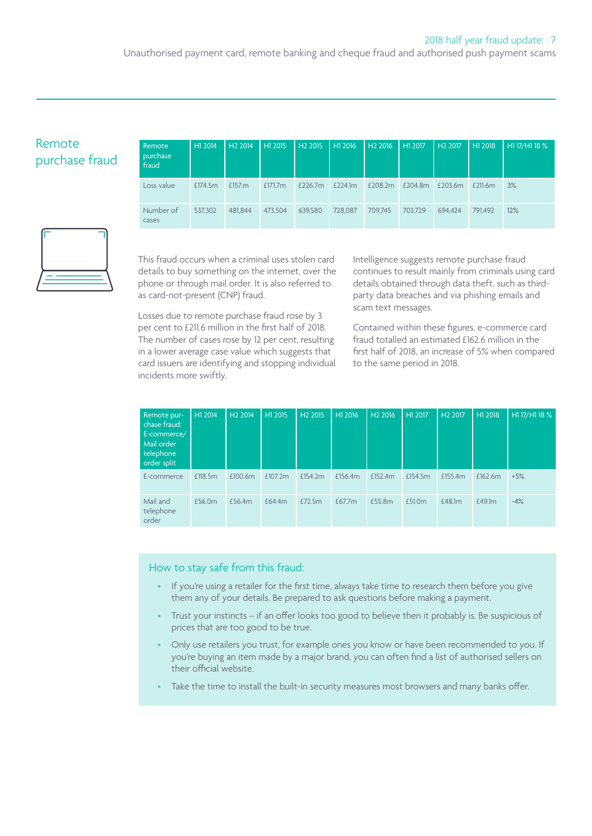Unauthorised payment card, remote banking and cheque fraud and authorised push payment scams

# Remote purchase fraud

| Remote<br>purchase<br>fraud | H1 2014 | H <sub>2</sub> 2014 | H1 2015    | H <sub>2</sub> 2015 | H1 2016 | $H2\overline{2016}$ | H12017  | H <sub>2</sub> 2017 | H <sub>1</sub> 2018 | H1 17/H1 18 % |
|-----------------------------|---------|---------------------|------------|---------------------|---------|---------------------|---------|---------------------|---------------------|---------------|
| Loss value                  | £174.5m | £157. $m$           | £171.7 $m$ | £226.7 $m$          | £224.1m | £208.2m             | £204.8m | £203.6m             | £211.6m             | 3%            |
| Number of<br>cases          | 537,302 | 481.844             | 473.504    | 639,580             | 728,087 | 709.745             | 703.729 | 694.424             | 791,492             | 12%           |



This fraud occurs when a criminal uses stolen card details to buy something on the internet, over the phone or through mail order. It is also referred to as card-not-present (CNP) fraud.

Losses due to remote purchase fraud rose by 3 per cent to £211.6 million in the first half of 2018. The number of cases rose by 12 per cent, resulting in a lower average case value which suggests that card issuers are identifying and stopping individual incidents more swiftly.

Intelligence suggests remote purchase fraud continues to result mainly from criminals using card details obtained through data theft, such as thirdparty data breaches and via phishing emails and scam text messages.

Contained within these figures, e-commerce card fraud totalled an estimated £162.6 million in the first half of 2018, an increase of 5% when compared to the same period in 2018.

| Remote pur-<br>chase fraud:<br>E-commerce/<br>Mail order<br>telephone<br>order split | H1 2014 | H <sub>2</sub> 2014 | H1 2015 | H <sub>2</sub> 2015 | H1 2016 | H <sub>2</sub> 2016 | H1 2017 | H <sub>2</sub> 2017 | H1 2018 | H1 17/H1 18 % |
|--------------------------------------------------------------------------------------|---------|---------------------|---------|---------------------|---------|---------------------|---------|---------------------|---------|---------------|
| E-commerce                                                                           | £118.5m | £100.6m             | £107.2m | £154.2m             | £156.4m | £152.4m             | £154.5m | £155.4m             | £162.6m | $+5%$         |
| Mail and<br>telephone<br>order                                                       | £56.0m  | £56.4m              | £64.4m  | £72.5m              | £67.7m  | £55.8m              | £51.0m  | £48.1m              | £49.1m  | $-4%$         |

### How to stay safe from this fraud:

- If you're using a retailer for the first time, always take time to research them before you give them any of your details. Be prepared to ask questions before making a payment.
- Trust your instincts if an offer looks too good to believe then it probably is. Be suspicious of prices that are too good to be true.
- Only use retailers you trust, for example ones you know or have been recommended to you. If you're buying an item made by a major brand, you can often find a list of authorised sellers on their official website.
- Take the time to install the built-in security measures most browsers and many banks offer.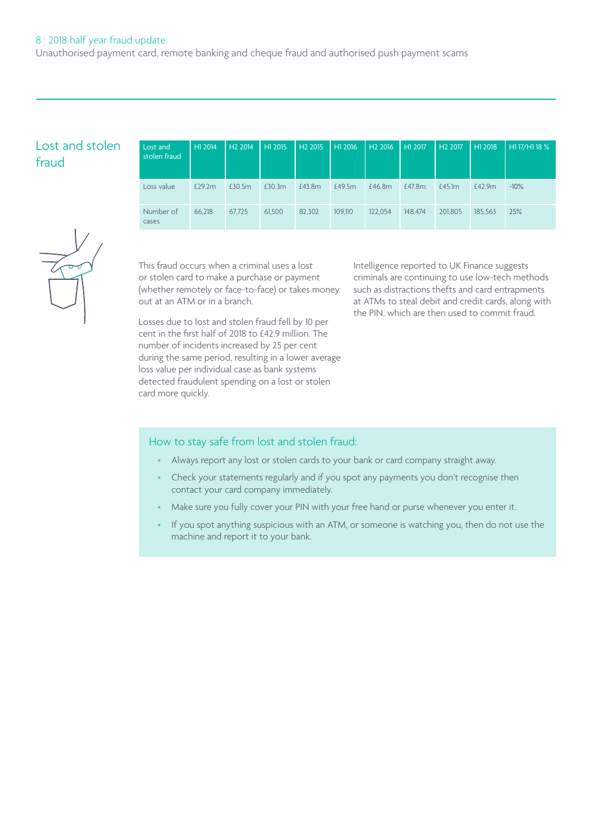## 8 | 2018 half year fraud update:

Unauthorised payment card, remote banking and cheque fraud and authorised push payment scams

# Lost and stolen fraud

| Lost and<br>stolen fraud | H1 2014 | H <sub>2</sub> 2014 | H1 2015 | H <sub>2</sub> 2015 | H <sub>1</sub> 2016 | H <sub>2</sub> 2016 | H12017  | H <sub>2</sub> 2017 | H1 2018 | H1 17/H1 18 % |
|--------------------------|---------|---------------------|---------|---------------------|---------------------|---------------------|---------|---------------------|---------|---------------|
| Loss value               | £29.2m  | £30.5m              | £30.3m  | £43.8m              | £49.5m              | £46.8m              | £47.8m  | £45.1m              | £42.9m  | $-10\%$       |
| Number of<br>cases       | 66,218  | 67,725              | 61,500  | 82,302              | 109.110             | 122.054             | 148,474 | 201.805             | 185.563 | 25%           |

This fraud occurs when a criminal uses a lost or stolen card to make a purchase or payment (whether remotely or face-to-face) or takes money out at an ATM or in a branch.

Losses due to lost and stolen fraud fell by 10 per cent in the first half of 2018 to £42.9 million. The number of incidents increased by 25 per cent during the same period, resulting in a lower average loss value per individual case as bank systems detected fraudulent spending on a lost or stolen card more quickly.

Intelligence reported to UK Finance suggests criminals are continuing to use low-tech methods such as distractions thefts and card entrapments at ATMs to steal debit and credit cards, along with the PIN, which are then used to commit fraud.

### How to stay safe from lost and stolen fraud:

- Always report any lost or stolen cards to your bank or card company straight away.
- Check your statements regularly and if you spot any payments you don't recognise then contact your card company immediately.
- Make sure you fully cover your PIN with your free hand or purse whenever you enter it.
- If you spot anything suspicious with an ATM, or someone is watching you, then do not use the machine and report it to your bank.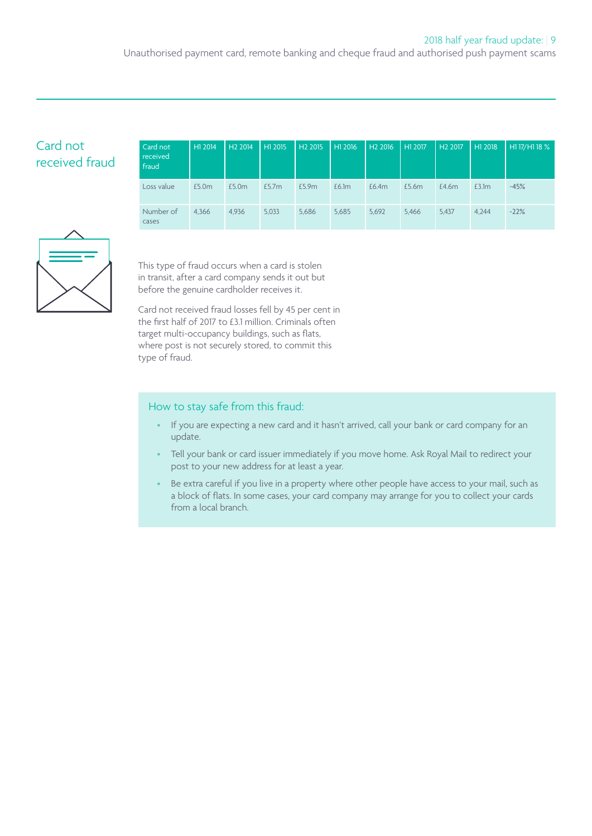Unauthorised payment card, remote banking and cheque fraud and authorised push payment scams

# Card not received fraud

| Card not<br>received<br>fraud | H1 2014 | H <sub>2</sub> 2014 | H1 2015 | H <sub>2</sub> 2015 | H12016 | H <sub>2</sub> 2016 | H1 2017 | H <sub>2</sub> 2017 | H1 2018 | H1 17/H1 18 % |
|-------------------------------|---------|---------------------|---------|---------------------|--------|---------------------|---------|---------------------|---------|---------------|
| Loss value                    | £5.0m   | £5.0m               | £5.7m   | £5.9m               | £6.1m  | £6.4m               | £5.6m   | £4.6m               | £3.1m   | $-45%$        |
| Number of<br>cases            | 4.366   | 4.936               | 5.033   | 5.686               | 5,685  | 5,692               | 5.466   | 5.437               | 4.244   | $-22%$        |



This type of fraud occurs when a card is stolen in transit, after a card company sends it out but before the genuine cardholder receives it.

Card not received fraud losses fell by 45 per cent in the first half of 2017 to £3.1 million. Criminals often target multi-occupancy buildings, such as flats, where post is not securely stored, to commit this type of fraud.

### How to stay safe from this fraud:

- If you are expecting a new card and it hasn't arrived, call your bank or card company for an update.
- Tell your bank or card issuer immediately if you move home. Ask Royal Mail to redirect your post to your new address for at least a year.
- Be extra careful if you live in a property where other people have access to your mail, such as a block of flats. In some cases, your card company may arrange for you to collect your cards from a local branch.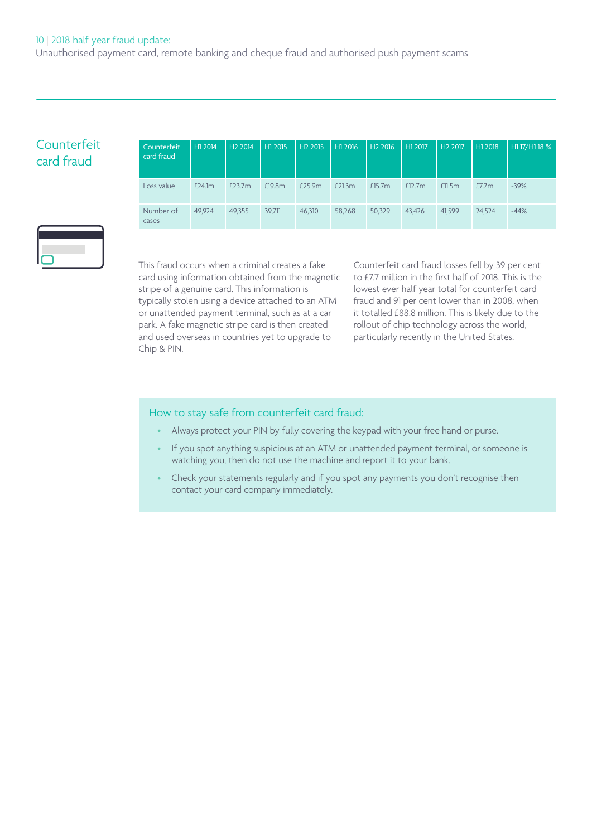# Counterfeit card fraud

| Counterfeit<br>card fraud | H1 2014 | H <sub>2</sub> 2014 | H1 2015 | H <sub>2</sub> 2015 | H1 2016 | H <sub>2</sub> 2016 | H1 2017 | H <sub>2</sub> 2017 | H1 2018 | H117/H118 % |
|---------------------------|---------|---------------------|---------|---------------------|---------|---------------------|---------|---------------------|---------|-------------|
| Loss value                | £24.1m  | £23.7m              | £19.8m  | £25.9m              | £21.3m  | £15.7 <sub>m</sub>  | £12.7m  | £11.5m              | £7.7m   | $-39%$      |
| Number of<br>cases        | 49.924  | 49.355              | 39.711  | 46.310              | 58,268  | 50.329              | 43.426  | 41.599              | 24.524  | $-44%$      |



This fraud occurs when a criminal creates a fake card using information obtained from the magnetic stripe of a genuine card. This information is typically stolen using a device attached to an ATM or unattended payment terminal, such as at a car park. A fake magnetic stripe card is then created and used overseas in countries yet to upgrade to Chip & PIN.

Counterfeit card fraud losses fell by 39 per cent to £7.7 million in the first half of 2018. This is the lowest ever half year total for counterfeit card fraud and 91 per cent lower than in 2008, when it totalled £88.8 million. This is likely due to the rollout of chip technology across the world, particularly recently in the United States.

## How to stay safe from counterfeit card fraud:

- Always protect your PIN by fully covering the keypad with your free hand or purse.
- If you spot anything suspicious at an ATM or unattended payment terminal, or someone is watching you, then do not use the machine and report it to your bank.
- Check your statements regularly and if you spot any payments you don't recognise then contact your card company immediately.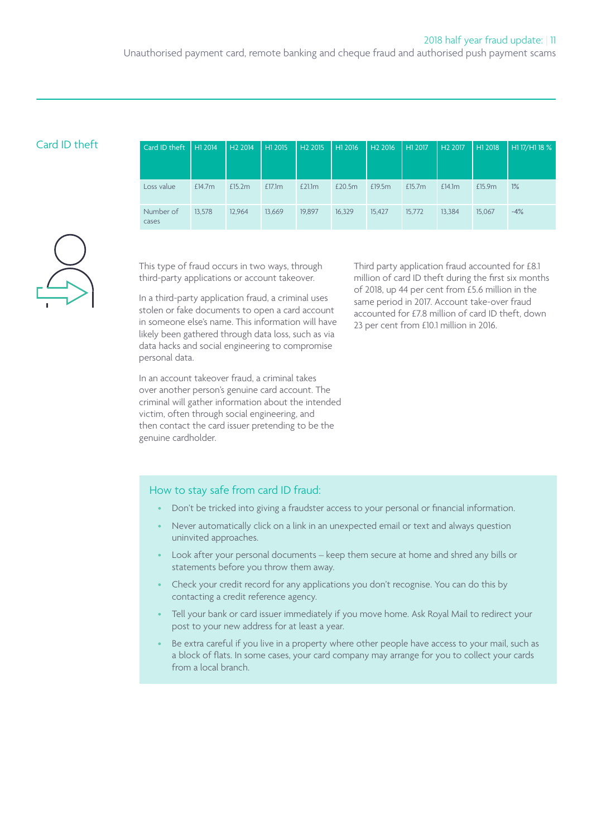| Card ID theft | Card ID theft   H1 2014   H2 2014 |        |        | H1 2015 |        |        | H2 2015   H1 2016   H2 2016   H1 2017 |           | H <sub>2</sub> 2017 | H1 2018 | H1 17/H1 18 % |
|---------------|-----------------------------------|--------|--------|---------|--------|--------|---------------------------------------|-----------|---------------------|---------|---------------|
|               |                                   |        |        |         |        |        |                                       |           |                     |         |               |
|               | Loss value                        | £14.7m | £15.2m | £17.1m  | £21.1m | £20.5m | £19.5m                                | £15.7 $m$ | £14.1m              | £15.9m  | 1%            |
|               | Number of<br>cases                | 13.578 | 12.964 | 13,669  | 19,897 | 16.329 | 15,427                                | 15.772    | 13,384              | 15,067  | $-4%$         |



This type of fraud occurs in two ways, through third-party applications or account takeover.

In a third-party application fraud, a criminal uses stolen or fake documents to open a card account in someone else's name. This information will have likely been gathered through data loss, such as via data hacks and social engineering to compromise personal data.

In an account takeover fraud, a criminal takes over another person's genuine card account. The criminal will gather information about the intended victim, often through social engineering, and then contact the card issuer pretending to be the genuine cardholder.

Third party application fraud accounted for £8.1 million of card ID theft during the first six months of 2018, up 44 per cent from £5.6 million in the same period in 2017. Account take-over fraud accounted for £7.8 million of card ID theft, down 23 per cent from £10.1 million in 2016.

# How to stay safe from card ID fraud:

- Don't be tricked into giving a fraudster access to your personal or financial information.
- Never automatically click on a link in an unexpected email or text and always question uninvited approaches.
- Look after your personal documents keep them secure at home and shred any bills or statements before you throw them away.
- Check your credit record for any applications you don't recognise. You can do this by contacting a credit reference agency.
- Tell your bank or card issuer immediately if you move home. Ask Royal Mail to redirect your post to your new address for at least a year.
- Be extra careful if you live in a property where other people have access to your mail, such as a block of flats. In some cases, your card company may arrange for you to collect your cards from a local branch.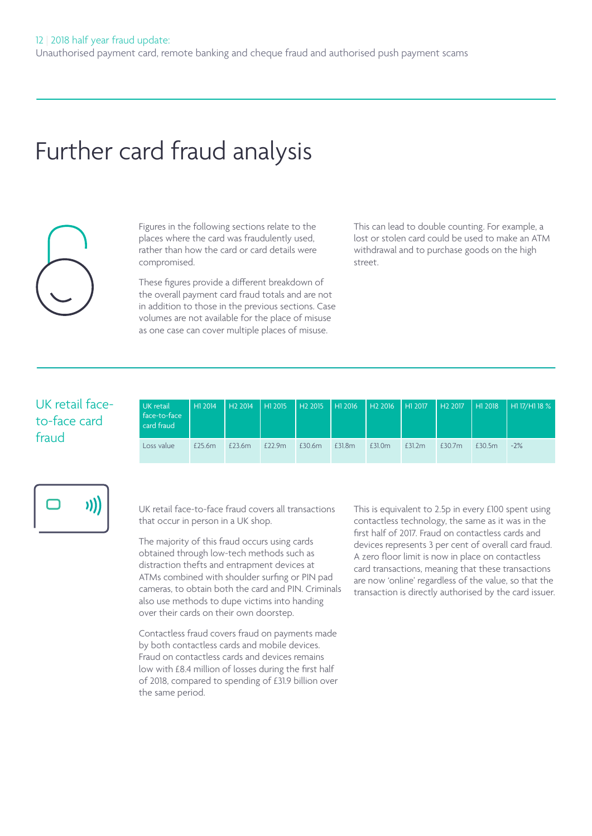# Further card fraud analysis

Figures in the following sections relate to the places where the card was fraudulently used, rather than how the card or card details were compromised.

These figures provide a different breakdown of the overall payment card fraud totals and are not in addition to those in the previous sections. Case volumes are not available for the place of misuse as one case can cover multiple places of misuse.

This can lead to double counting. For example, a lost or stolen card could be used to make an ATM withdrawal and to purchase goods on the high street.

# UK retail faceto-face card fraud

| UK retail<br>face-to-face<br>card fraud | $H12014$ $H22014$ $H12015$ |        |        |        |        | H2 2015   H1 2016   H2 2016   H1 2017   H2 2017   H1 2018 |        |        |        | H17/H118% |
|-----------------------------------------|----------------------------|--------|--------|--------|--------|-----------------------------------------------------------|--------|--------|--------|-----------|
| Loss value                              | £25.6m                     | £23.6m | £22.9m | £30.6m | £31.8m | £31.0m                                                    | £31.2m | £30.7m | £30.5m | $-2%$     |



UK retail face-to-face fraud covers all transactions that occur in person in a UK shop.

The majority of this fraud occurs using cards obtained through low-tech methods such as distraction thefts and entrapment devices at ATMs combined with shoulder surfing or PIN pad cameras, to obtain both the card and PIN. Criminals also use methods to dupe victims into handing over their cards on their own doorstep.

Contactless fraud covers fraud on payments made by both contactless cards and mobile devices. Fraud on contactless cards and devices remains low with £8.4 million of losses during the first half of 2018, compared to spending of £31.9 billion over the same period.

This is equivalent to 2.5p in every £100 spent using contactless technology, the same as it was in the first half of 2017. Fraud on contactless cards and devices represents 3 per cent of overall card fraud. A zero floor limit is now in place on contactless card transactions, meaning that these transactions are now 'online' regardless of the value, so that the transaction is directly authorised by the card issuer.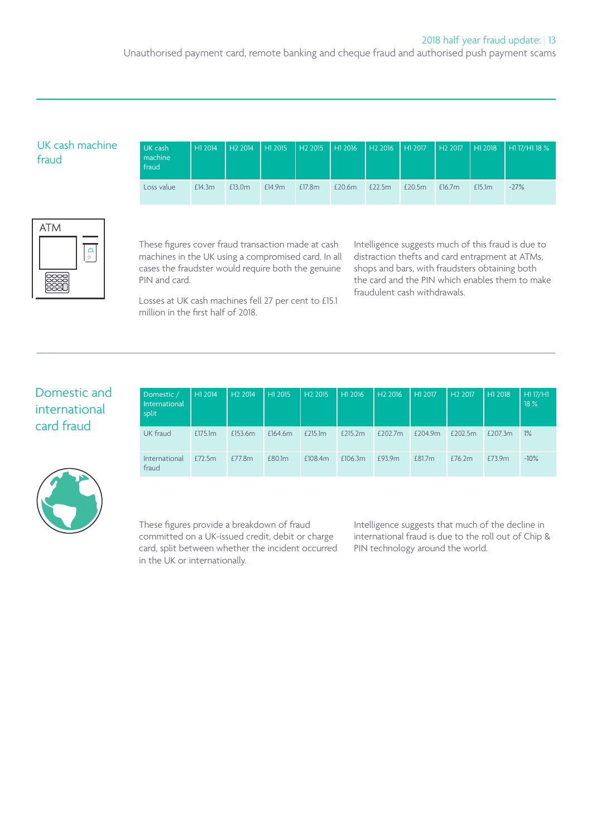# UK cash machine fraud

| UK cash<br>machine<br>fraud | H1 2014 | H <sub>2</sub> 2014 | H12015 | H2 2015   H1 2016   H2 2016   H1 2017 |        |        |        | H2 2017   | H12018             | $\parallel$ H1 17/H1 18 % |
|-----------------------------|---------|---------------------|--------|---------------------------------------|--------|--------|--------|-----------|--------------------|---------------------------|
| Loss value                  | £14.3m  | £13.0m              | £14.9m | £17.8m                                | £20.6m | £22.5m | £20.5m | £ $16.7m$ | £15.1 <sub>m</sub> | $-27%$                    |



These figures cover fraud transaction made at cash machines in the UK using a compromised card. In all cases the fraudster would require both the genuine PIN and card.

Losses at UK cash machines fell 27 per cent to £15.1 million in the first half of 2018.

Intelligence suggests much of this fraud is due to distraction thefts and card entrapment at ATMs, shops and bars, with fraudsters obtaining both the card and the PIN which enables them to make fraudulent cash withdrawals.

# Domestic and international card fraud



| Domestic /<br><b>International</b><br>split | H12014  | H <sub>2</sub> 2014 | H1 2015 | H <sub>2</sub> 2015 | H1 2016 | H <sub>2</sub> 2016 | H1 2017 | H <sub>2</sub> 2017 | H1 2018 | H1 17/H1<br>18 % |
|---------------------------------------------|---------|---------------------|---------|---------------------|---------|---------------------|---------|---------------------|---------|------------------|
| UK fraud                                    | £175.1m | £153.6m             | £164.6m | £215.1m             | £215.2m | £202.7m             | £204.9m | £202.5m             | £207.3m | 1%               |
| <b>International</b><br>fraud               | £72.5m  | £77.8m              | £80.1m  | £108.4m             | £106.3m | £93.9m              | £81.7m  | £76.2m              | £73.9m  | $-10%$           |

These figures provide a breakdown of fraud committed on a UK-issued credit, debit or charge card, split between whether the incident occurred in the UK or internationally.

Intelligence suggests that much of the decline in international fraud is due to the roll out of Chip & PIN technology around the world.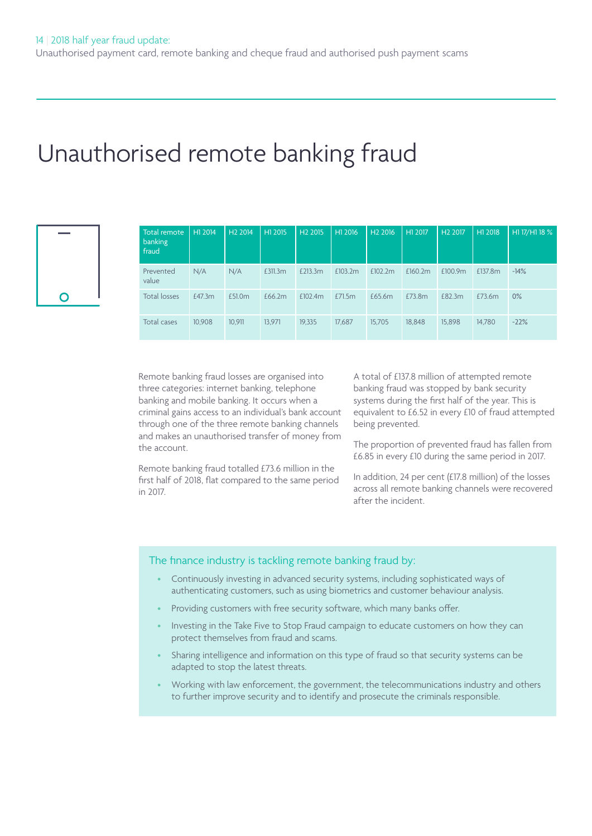# Unauthorised remote banking fraud

| O |  |
|---|--|

| Total remote<br>banking<br>fraud | H1 2014 | H <sub>2</sub> 2014 | H1 2015 | H <sub>2</sub> 2015 | H1 2016 | H <sub>2</sub> 2016 | H1 2017 | H <sub>2</sub> 2017 | H1 2018 | H1 17/H1 18 % |
|----------------------------------|---------|---------------------|---------|---------------------|---------|---------------------|---------|---------------------|---------|---------------|
| Prevented<br>value               | N/A     | N/A                 | £311.3m | £213.3m             | £103.2m | £102.2m             | £160.2m | £100.9m             | £137.8m | $-14%$        |
| <b>Total losses</b>              | £47.3m  | £51.0m              | £66.2m  | £102.4m             | £71.5m  | £65.6m              | £73.8m  | £82.3m              | £73.6m  | $0\%$         |
| Total cases                      | 10.908  | 10.911              | 13.971  | 19.335              | 17,687  | 15.705              | 18,848  | 15,898              | 14.780  | $-22%$        |

Remote banking fraud losses are organised into three categories: internet banking, telephone banking and mobile banking. It occurs when a criminal gains access to an individual's bank account through one of the three remote banking channels and makes an unauthorised transfer of money from the account.

Remote banking fraud totalled £73.6 million in the first half of 2018, flat compared to the same period in 2017.

A total of £137.8 million of attempted remote banking fraud was stopped by bank security systems during the first half of the year. This is equivalent to £6.52 in every £10 of fraud attempted being prevented.

The proportion of prevented fraud has fallen from £6.85 in every £10 during the same period in 2017.

In addition, 24 per cent (£17.8 million) of the losses across all remote banking channels were recovered after the incident.

# The finance industry is tackling remote banking fraud by:

- Continuously investing in advanced security systems, including sophisticated ways of authenticating customers, such as using biometrics and customer behaviour analysis.
- Providing customers with free security software, which many banks offer.
- Investing in the Take Five to Stop Fraud campaign to educate customers on how they can protect themselves from fraud and scams.
- Sharing intelligence and information on this type of fraud so that security systems can be adapted to stop the latest threats.
- Working with law enforcement, the government, the telecommunications industry and others to further improve security and to identify and prosecute the criminals responsible.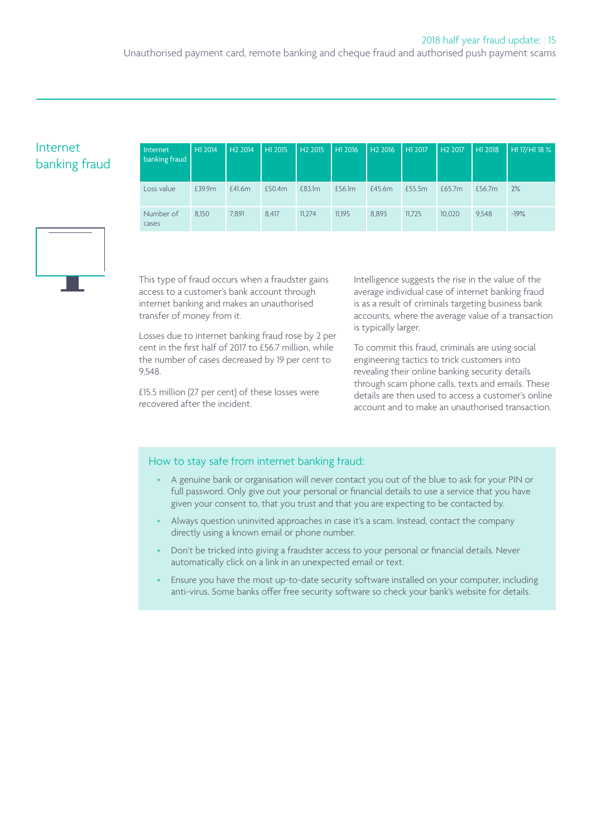Unauthorised payment card, remote banking and cheque fraud and authorised push payment scams

# Internet banking fraud

| Internet<br>banking fraud | H1 2014 | H <sub>2</sub> 2014 | H1 2015 | H <sub>2</sub> 2015 | H1 2016 | H <sub>2</sub> 2016 | H1 2017 | H <sub>2</sub> 2017 | H1 2018 | H1 17/H1 18 % |
|---------------------------|---------|---------------------|---------|---------------------|---------|---------------------|---------|---------------------|---------|---------------|
| Loss value                | £39.9m  | £41.6m              | £50.4m  | £83.1m              | £56.1m  | £45.6m              | £55.5m  | £65.7m              | £56.7m  | 2%            |
| Number of<br>cases        | 8.150   | 7.891               | 8.417   | 11.274              | 11.195  | 8.893               | 11.725  | 10.020              | 9.548   | $-19%$        |



This type of fraud occurs when a fraudster gains access to a customer's bank account through internet banking and makes an unauthorised transfer of money from it.

Losses due to internet banking fraud rose by 2 per cent in the first half of 2017 to £56.7 million, while the number of cases decreased by 19 per cent to 9,548.

£15.5 million (27 per cent) of these losses were recovered after the incident.

Intelligence suggests the rise in the value of the average individual case of internet banking fraud is as a result of criminals targeting business bank accounts, where the average value of a transaction is typically larger.

To commit this fraud, criminals are using social engineering tactics to trick customers into revealing their online banking security details through scam phone calls, texts and emails. These details are then used to access a customer's online account and to make an unauthorised transaction.

### How to stay safe from internet banking fraud:

- A genuine bank or organisation will never contact you out of the blue to ask for your PIN or full password. Only give out your personal or financial details to use a service that you have given your consent to, that you trust and that you are expecting to be contacted by.
- Always question uninvited approaches in case it's a scam. Instead, contact the company directly using a known email or phone number.
- Don't be tricked into giving a fraudster access to your personal or financial details. Never automatically click on a link in an unexpected email or text.
- Ensure you have the most up-to-date security software installed on your computer, including anti-virus. Some banks offer free security software so check your bank's website for details.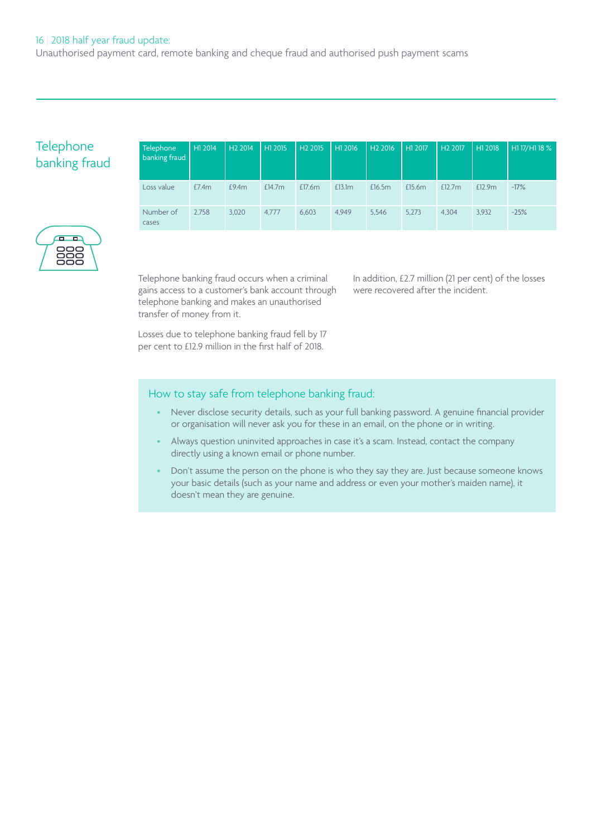# **Telephone** banking fraud

| Telephone<br>banking fraud | H1 2014 | H <sub>2</sub> 2014 | H12015    | H <sub>2</sub> 2015 | H1 2016 | H <sub>2</sub> 2016 | H1 2017 | H <sub>2</sub> 2017 | H1 2018 | H1 17/H1 18 % |
|----------------------------|---------|---------------------|-----------|---------------------|---------|---------------------|---------|---------------------|---------|---------------|
| Loss value                 | E7.4m   | £9.4m               | £ $14.7m$ | £17.6m              | £13.1m  | £16.5m              | £15.6m  | £12.7m              | £12.9m  | $-17%$        |
| Number of<br>cases         | 2.758   | 3.020               | 4.777     | 6.603               | 4.949   | 5.546               | 5.273   | 4.304               | 3.932   | $-25%$        |



Telephone banking fraud occurs when a criminal gains access to a customer's bank account through telephone banking and makes an unauthorised transfer of money from it.

Losses due to telephone banking fraud fell by 17 per cent to £12.9 million in the first half of 2018.

In addition, £2.7 million (21 per cent) of the losses were recovered after the incident.

# How to stay safe from telephone banking fraud:

- Never disclose security details, such as your full banking password. A genuine financial provider or organisation will never ask you for these in an email, on the phone or in writing.
- Always question uninvited approaches in case it's a scam. Instead, contact the company directly using a known email or phone number.
- Don't assume the person on the phone is who they say they are. Just because someone knows your basic details (such as your name and address or even your mother's maiden name), it doesn't mean they are genuine.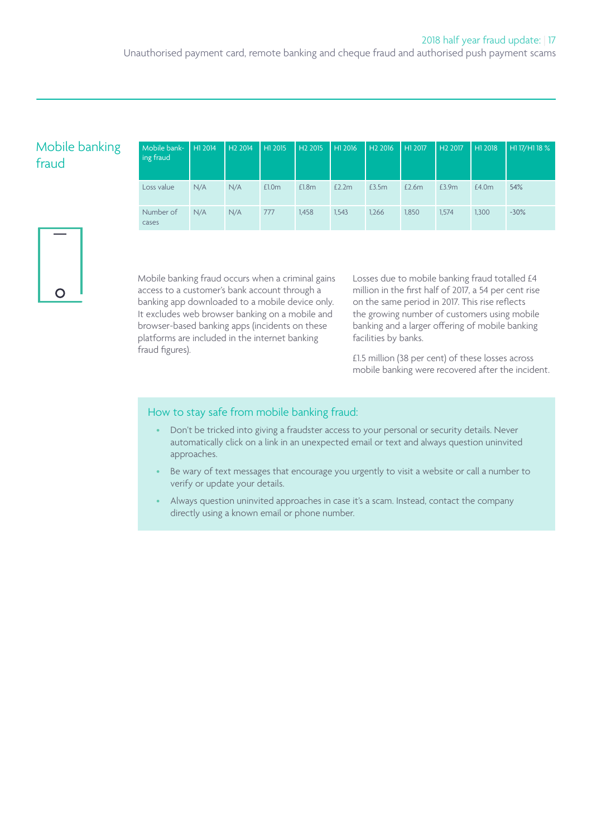Unauthorised payment card, remote banking and cheque fraud and authorised push payment scams

# Mobile banking fraud

| Mobile bank-<br>ing fraud | H12014 | H <sub>2</sub> 2014 | H1 2015 | H <sub>2</sub> 2015 | H1 2016 | H <sub>2</sub> 2016 | H1 2017 | H <sub>2</sub> 2017 | H1 2018 | H1 17/H1 18 % |
|---------------------------|--------|---------------------|---------|---------------------|---------|---------------------|---------|---------------------|---------|---------------|
| Loss value                | N/A    | N/A                 | £1.0m   | £1.8m               | £2.2m   | £3.5m               | £2.6m   | £3.9m               | £4.0m   | 54%           |
| Number of<br>cases        | N/A    | N/A                 | 777     | 1.458               | 1,543   | 1.266               | 1,850   | 1,574               | 1.300   | $-30\%$       |



Mobile banking fraud occurs when a criminal gains access to a customer's bank account through a banking app downloaded to a mobile device only. It excludes web browser banking on a mobile and browser-based banking apps (incidents on these platforms are included in the internet banking fraud figures).

Losses due to mobile banking fraud totalled £4 million in the first half of 2017, a 54 per cent rise on the same period in 2017. This rise reflects the growing number of customers using mobile banking and a larger offering of mobile banking facilities by banks.

£1.5 million (38 per cent) of these losses across mobile banking were recovered after the incident.

### How to stay safe from mobile banking fraud:

- Don't be tricked into giving a fraudster access to your personal or security details. Never automatically click on a link in an unexpected email or text and always question uninvited approaches.
- Be wary of text messages that encourage you urgently to visit a website or call a number to verify or update your details.
- Always question uninvited approaches in case it's a scam. Instead, contact the company directly using a known email or phone number.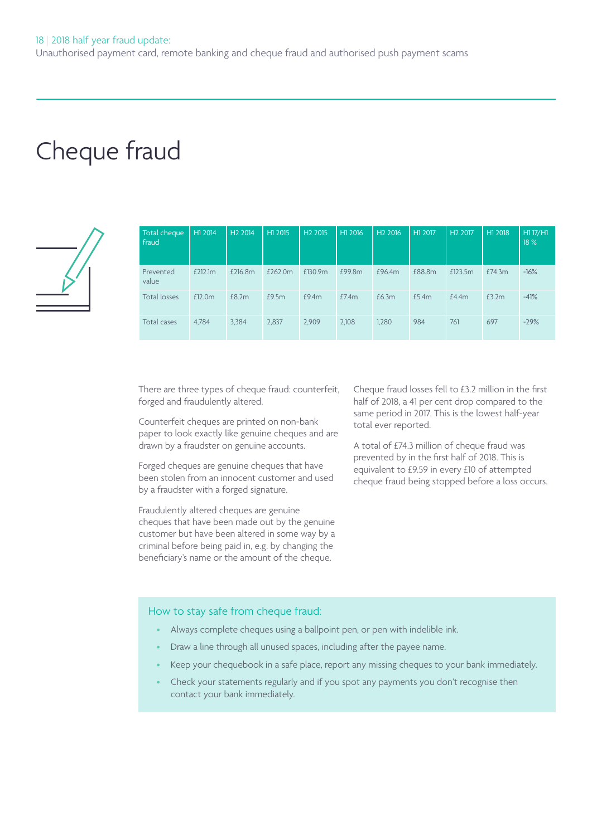# Cheque fraud



| Total cheque<br>fraud | H1 2014 | H <sub>2</sub> 2014 | H1 2015 | H <sub>2</sub> 2015 | H1 2016 | H <sub>2</sub> 2016 | H1 2017 | H <sub>2</sub> 2017 | H1 2018 | H1 17/H1<br>18% |
|-----------------------|---------|---------------------|---------|---------------------|---------|---------------------|---------|---------------------|---------|-----------------|
| Prevented<br>value    | £212.1m | £216.8m             | £262.0m | £130.9m             | £99.8m  | £96.4m              | £88.8m  | £123.5m             | £74.3m  | $-16%$          |
| Total losses          | £12.0m  | £8.2m               | £9.5m   | £9.4m               | £7.4m   | £6.3m               | £5.4m   | £4.4m               | £3.2m   | $-41%$          |
| Total cases           | 4.784   | 3.384               | 2,837   | 2,909               | 2.108   | 1,280               | 984     | 761                 | 697     | $-29%$          |

There are three types of cheque fraud: counterfeit, forged and fraudulently altered.

Counterfeit cheques are printed on non-bank paper to look exactly like genuine cheques and are drawn by a fraudster on genuine accounts.

Forged cheques are genuine cheques that have been stolen from an innocent customer and used by a fraudster with a forged signature.

Fraudulently altered cheques are genuine cheques that have been made out by the genuine customer but have been altered in some way by a criminal before being paid in, e.g. by changing the beneficiary's name or the amount of the cheque.

Cheque fraud losses fell to £3.2 million in the first half of 2018, a 41 per cent drop compared to the same period in 2017. This is the lowest half-year total ever reported.

A total of £74.3 million of cheque fraud was prevented by in the first half of 2018. This is equivalent to £9.59 in every £10 of attempted cheque fraud being stopped before a loss occurs.

#### How to stay safe from cheque fraud:

- Always complete cheques using a ballpoint pen, or pen with indelible ink.
- Draw a line through all unused spaces, including after the payee name.
- Keep your chequebook in a safe place, report any missing cheques to your bank immediately.
- Check your statements regularly and if you spot any payments you don't recognise then contact your bank immediately.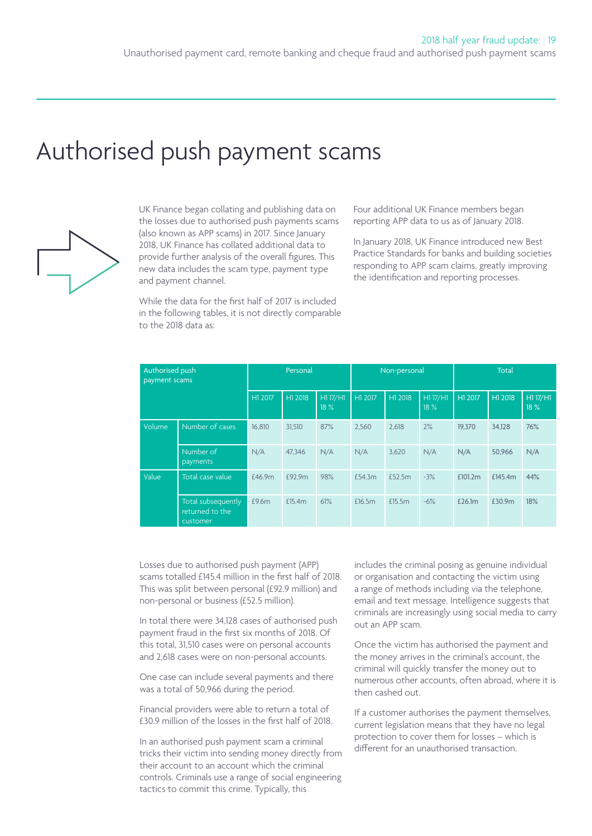# Authorised push payment scams



UK Finance began collating and publishing data on the losses due to authorised push payments scams (also known as APP scams) in 2017. Since January 2018, UK Finance has collated additional data to provide further analysis of the overall figures. This new data includes the scam type, payment type and payment channel.

While the data for the first half of 2017 is included in the following tables, it is not directly comparable to the 2018 data as:

Four additional UK Finance members began reporting APP data to us as of January 2018.

In January 2018, UK Finance introduced new Best Practice Standards for banks and building societies responding to APP scam claims, greatly improving the identification and reporting processes.

| Authorised push<br>payment scams |                                                   | Personal |         |                 |         | Non-personal |                 | <b>Total</b> |         |                 |
|----------------------------------|---------------------------------------------------|----------|---------|-----------------|---------|--------------|-----------------|--------------|---------|-----------------|
|                                  |                                                   | H1 2017  | H1 2018 | H1 17/H1<br>18% | H1 2017 | H1 2018      | H117/H1<br>18 % | H1 2017      | H1 2018 | H1 17/H1<br>18% |
| Volume                           | Number of cases                                   | 16.810   | 31.510  | 87%             | 2.560   | 2.618        | 2%              | 19.370       | 34.128  | 76%             |
|                                  | Number of<br>payments                             | N/A      | 47.346  | N/A             | N/A     | 3,620        | N/A             | N/A          | 50.966  | N/A             |
| Value                            | Total case value                                  | £46.9m   | £92.9m  | 98%             | £54.3m  | £52.5m       | $-3%$           | £101.2m      | £145.4m | 44%             |
|                                  | Total subsequently<br>returned to the<br>customer | £9.6m    | £15.4m  | 61%             | £16.5m  | £15.5m       | $-6%$           | £26.1m       | £30.9m  | 18%             |

Losses due to authorised push payment (APP) scams totalled £145.4 million in the first half of 2018. This was split between personal (£92.9 million) and non-personal or business (£52.5 million).

In total there were 34,128 cases of authorised push payment fraud in the first six months of 2018. Of this total, 31,510 cases were on personal accounts and 2,618 cases were on non-personal accounts.

One case can include several payments and there was a total of 50,966 during the period.

Financial providers were able to return a total of £30.9 million of the losses in the first half of 2018.

In an authorised push payment scam a criminal tricks their victim into sending money directly from their account to an account which the criminal controls. Criminals use a range of social engineering tactics to commit this crime. Typically, this

includes the criminal posing as genuine individual or organisation and contacting the victim using a range of methods including via the telephone, email and text message. Intelligence suggests that criminals are increasingly using social media to carry out an APP scam.

Once the victim has authorised the payment and the money arrives in the criminal's account, the criminal will quickly transfer the money out to numerous other accounts, often abroad, where it is then cashed out.

If a customer authorises the payment themselves, current legislation means that they have no legal protection to cover them for losses – which is different for an unauthorised transaction.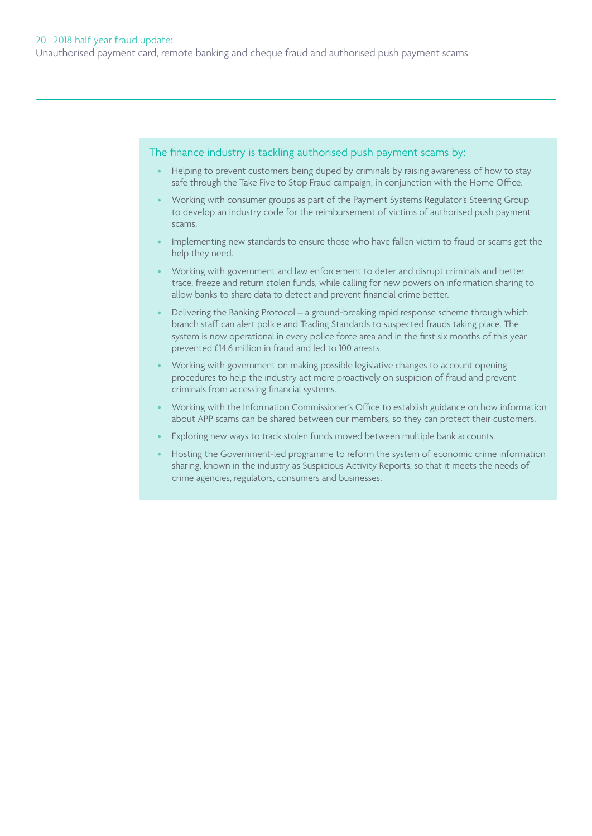The finance industry is tackling authorised push payment scams by:

- Helping to prevent customers being duped by criminals by raising awareness of how to stay safe through the Take Five to Stop Fraud campaign, in conjunction with the Home Office.
- Working with consumer groups as part of the Payment Systems Regulator's Steering Group to develop an industry code for the reimbursement of victims of authorised push payment scams.
- Implementing new standards to ensure those who have fallen victim to fraud or scams get the help they need.
- Working with government and law enforcement to deter and disrupt criminals and better trace, freeze and return stolen funds, while calling for new powers on information sharing to allow banks to share data to detect and prevent financial crime better.
- Delivering the Banking Protocol a ground-breaking rapid response scheme through which branch staff can alert police and Trading Standards to suspected frauds taking place. The system is now operational in every police force area and in the first six months of this year prevented £14.6 million in fraud and led to 100 arrests.
- Working with government on making possible legislative changes to account opening procedures to help the industry act more proactively on suspicion of fraud and prevent criminals from accessing financial systems.
- Working with the Information Commissioner's Office to establish guidance on how information about APP scams can be shared between our members, so they can protect their customers.
- Exploring new ways to track stolen funds moved between multiple bank accounts.
- Hosting the Government-led programme to reform the system of economic crime information sharing, known in the industry as Suspicious Activity Reports, so that it meets the needs of crime agencies, regulators, consumers and businesses.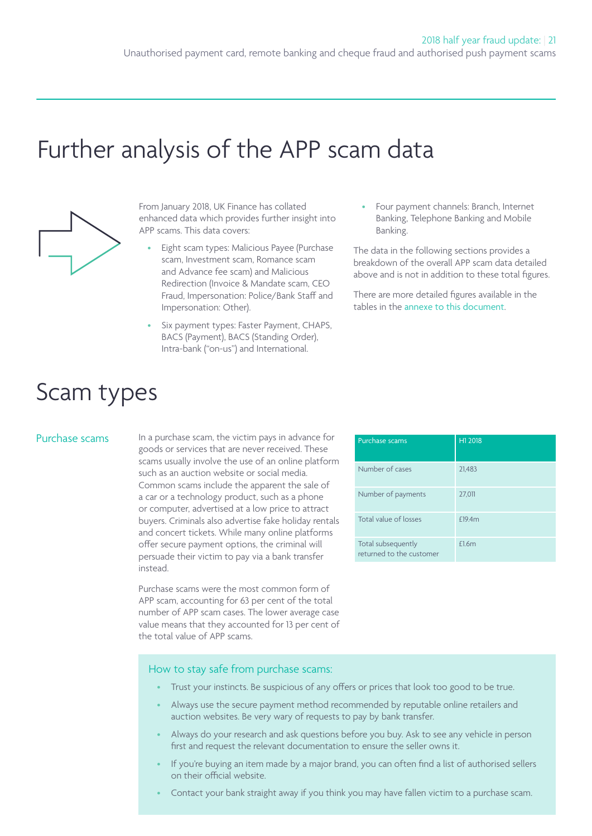# Further analysis of the APP scam data



From January 2018, UK Finance has collated enhanced data which provides further insight into APP scams. This data covers:

- Eight scam types: Malicious Payee (Purchase scam, Investment scam, Romance scam and Advance fee scam) and Malicious Redirection (Invoice & Mandate scam, CEO Fraud, Impersonation: Police/Bank Staff and Impersonation: Other).
- Six payment types: Faster Payment, CHAPS, BACS (Payment), BACS (Standing Order), Intra-bank ("on-us") and International.

• Four payment channels: Branch, Internet Banking, Telephone Banking and Mobile Banking.

The data in the following sections provides a breakdown of the overall APP scam data detailed above and is not in addition to these total figures.

There are more detailed figures available in the tables in the [annexe to this document](https://www.ukfinance.org.uk/wp-content/uploads/2018/09/APP-Appendices-File-June-18-Release-ONLINE.xlsx).

# Scam types

Purchase scams In a purchase scam, the victim pays in advance for Purchase scams Purchase Scams Pur 2018 goods or services that are never received. These scams usually involve the use of an online platform such as an auction website or social media. Common scams include the apparent the sale of a car or a technology product, such as a phone or computer, advertised at a low price to attract buyers. Criminals also advertise fake holiday rentals and concert tickets. While many online platforms offer secure payment options, the criminal will persuade their victim to pay via a bank transfer instead.

> Purchase scams were the most common form of APP scam, accounting for 63 per cent of the total number of APP scam cases. The lower average case value means that they accounted for 13 per cent of the total value of APP scams.

| Purchase scams                                 | H1 2018 |
|------------------------------------------------|---------|
| Number of cases                                | 21,483  |
| Number of payments                             | 27,011  |
| Total value of losses                          | £19.4m  |
| Total subsequently<br>returned to the customer | £1.6m   |

#### How to stay safe from purchase scams:

- Trust your instincts. Be suspicious of any offers or prices that look too good to be true.
- Always use the secure payment method recommended by reputable online retailers and auction websites. Be very wary of requests to pay by bank transfer.
- Always do your research and ask questions before you buy. Ask to see any vehicle in person first and request the relevant documentation to ensure the seller owns it.
- If you're buying an item made by a major brand, you can often find a list of authorised sellers on their official website.
- Contact your bank straight away if you think you may have fallen victim to a purchase scam.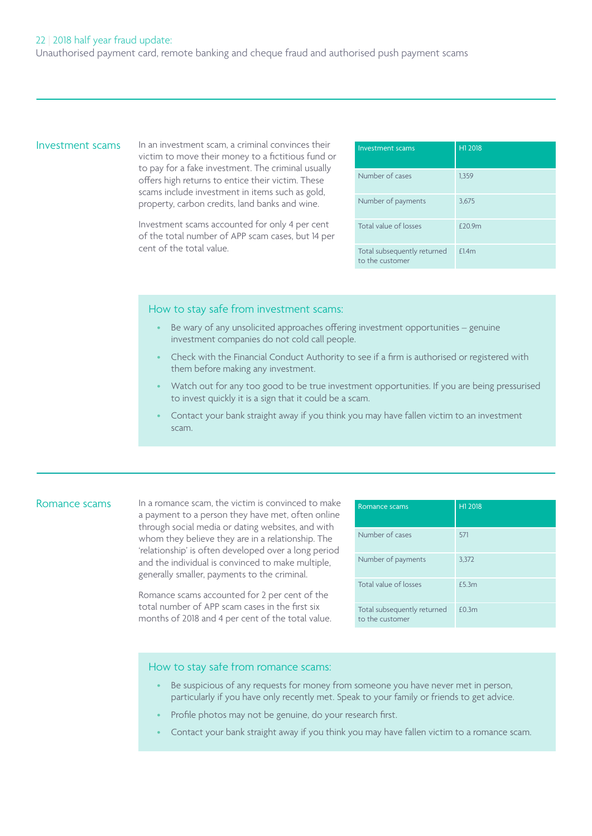Investment scams In an investment scam, a criminal convinces their Investment scams TH1 2018 victim to move their money to a fictitious fund or to pay for a fake investment. The criminal usually offers high returns to entice their victim. These scams include investment in items such as gold, property, carbon credits, land banks and wine.

> Investment scams accounted for only 4 per cent of the total number of APP scam cases, but 14 per cent of the total value.

| Investment scams                               | H1 2018 |
|------------------------------------------------|---------|
| Number of cases                                | 1,359   |
| Number of payments                             | 3,675   |
| Total value of losses                          | £20.9m  |
| Total subsequently returned<br>to the customer | £1.4m   |

### How to stay safe from investment scams:

- Be wary of any unsolicited approaches offering investment opportunities genuine investment companies do not cold call people.
- Check with the Financial Conduct Authority to see if a firm is authorised or registered with them before making any investment.
- Watch out for any too good to be true investment opportunities. If you are being pressurised to invest quickly it is a sign that it could be a scam.
- Contact your bank straight away if you think you may have fallen victim to an investment scam.

Romance scams In a romance scam, the victim is convinced to make Romance scams Remandell H1 2018 a payment to a person they have met, often online through social media or dating websites, and with whom they believe they are in a relationship. The 'relationship' is often developed over a long period and the individual is convinced to make multiple, generally smaller, payments to the criminal.

> Romance scams accounted for 2 per cent of the total number of APP scam cases in the first six months of 2018 and 4 per cent of the total value.

| Romance scams                                  | H1 2018 |
|------------------------------------------------|---------|
| Number of cases                                | 571     |
| Number of payments                             | 3,372   |
| Total value of losses                          | £5.3m   |
| Total subsequently returned<br>to the customer | £0.3m   |

### How to stay safe from romance scams:

- Be suspicious of any requests for money from someone you have never met in person, particularly if you have only recently met. Speak to your family or friends to get advice.
- Profile photos may not be genuine, do your research first.
- Contact your bank straight away if you think you may have fallen victim to a romance scam.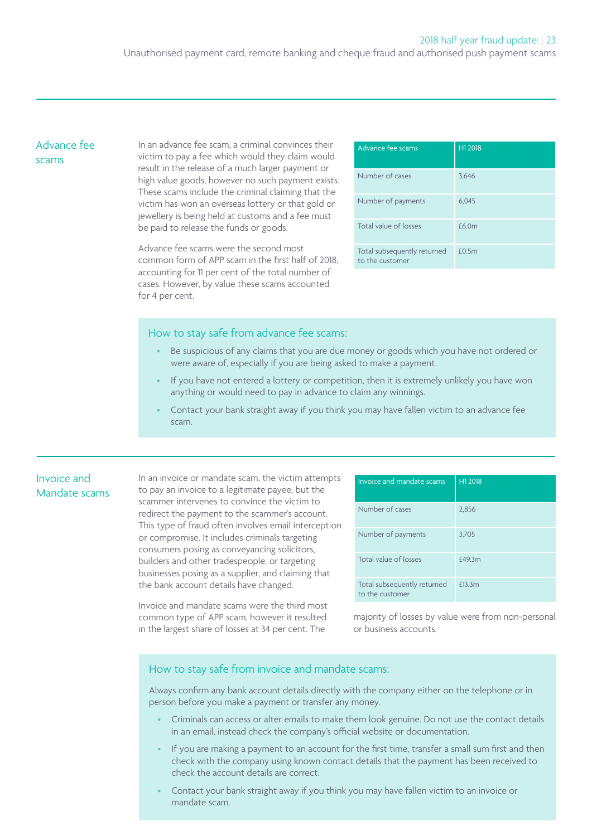# Advance fee scams

In an advance fee scam, a criminal convinces their victim to pay a fee which would they claim would result in the release of a much larger payment or high value goods, however no such payment exists. These scams include the criminal claiming that the victim has won an overseas lottery or that gold or jewellery is being held at customs and a fee must be paid to release the funds or goods.

Advance fee scams were the second most common form of APP scam in the first half of 2018, accounting for 11 per cent of the total number of cases. However, by value these scams accounted for 4 per cent.

| Advance fee scams                              | H1 2018 |
|------------------------------------------------|---------|
| Number of cases                                | 3.646   |
| Number of payments                             | 6.045   |
| Total value of losses                          | £6.0m   |
| Total subsequently returned<br>to the customer | £0.5m   |

### How to stay safe from advance fee scams:

- Be suspicious of any claims that you are due money or goods which you have not ordered or were aware of, especially if you are being asked to make a payment.
- If you have not entered a lottery or competition, then it is extremely unlikely you have won anything or would need to pay in advance to claim any winnings.
- Contact your bank straight away if you think you may have fallen victim to an advance fee scam.

# Invoice and Mandate scams

In an invoice or mandate scam, the victim attempts to pay an invoice to a legitimate payee, but the scammer intervenes to convince the victim to redirect the payment to the scammer's account. This type of fraud often involves email interception or compromise. It includes criminals targeting consumers posing as conveyancing solicitors, builders and other tradespeople, or targeting businesses posing as a supplier, and claiming that the bank account details have changed.

Invoice and mandate scams were the third most common type of APP scam, however it resulted in the largest share of losses at 34 per cent. The

| Invoice and mandate scams                      | H1 2018 |
|------------------------------------------------|---------|
| Number of cases                                | 2,856   |
| Number of payments                             | 3,705   |
| Total value of losses                          | £49.3m  |
| Total subsequently returned<br>to the customer | £13.3m  |

majority of losses by value were from non-personal or business accounts.

### How to stay safe from invoice and mandate scams:

Always confirm any bank account details directly with the company either on the telephone or in person before you make a payment or transfer any money.

- Criminals can access or alter emails to make them look genuine. Do not use the contact details in an email, instead check the company's official website or documentation.
- If you are making a payment to an account for the first time, transfer a small sum first and then check with the company using known contact details that the payment has been received to check the account details are correct.
- Contact your bank straight away if you think you may have fallen victim to an invoice or mandate scam.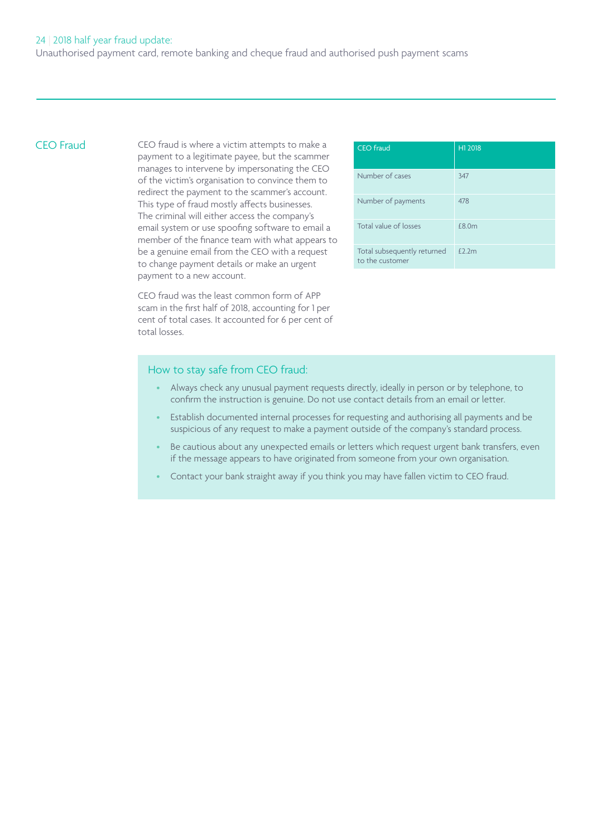CEO Fraud CEO fraud is where a victim attempts to make a CEO fraud CEO Fraud H1 2018 payment to a legitimate payee, but the scammer manages to intervene by impersonating the CEO of the victim's organisation to convince them to redirect the payment to the scammer's account. This type of fraud mostly affects businesses. The criminal will either access the company's email system or use spoofing software to email a member of the finance team with what appears to be a genuine email from the CEO with a request to change payment details or make an urgent payment to a new account.

> CEO fraud was the least common form of APP scam in the first half of 2018, accounting for 1 per cent of total cases. It accounted for 6 per cent of total losses.

| <b>CEO</b> fraud                               | H1 2018   |
|------------------------------------------------|-----------|
| Number of cases                                | 347       |
| Number of payments                             | 478       |
| Total value of losses                          | £8.0m     |
| Total subsequently returned<br>to the customer | $f$ 2 $m$ |

### How to stay safe from CEO fraud:

- Always check any unusual payment requests directly, ideally in person or by telephone, to confirm the instruction is genuine. Do not use contact details from an email or letter.
- Establish documented internal processes for requesting and authorising all payments and be suspicious of any request to make a payment outside of the company's standard process.
- Be cautious about any unexpected emails or letters which request urgent bank transfers, even if the message appears to have originated from someone from your own organisation.
- Contact your bank straight away if you think you may have fallen victim to CEO fraud.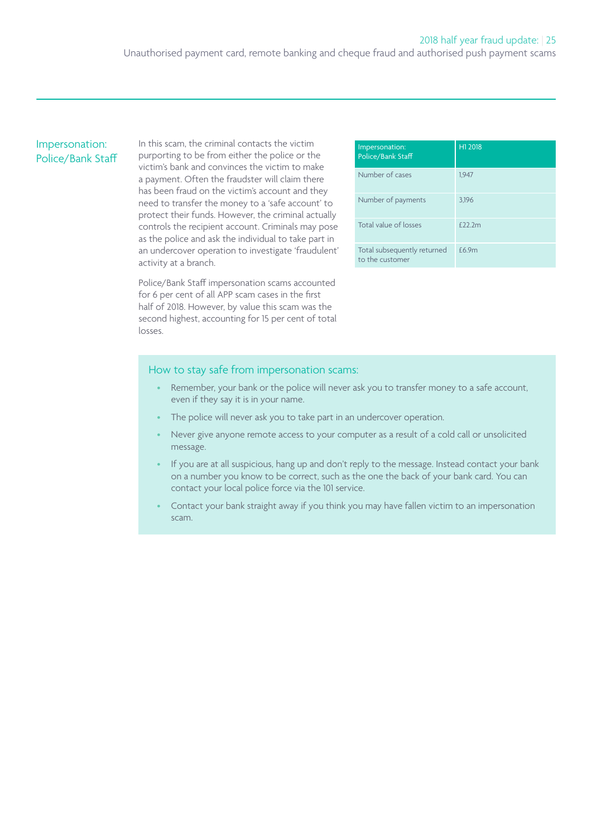# Impersonation: Police/Bank Staff

In this scam, the criminal contacts the victim purporting to be from either the police or the victim's bank and convinces the victim to make a payment. Often the fraudster will claim there has been fraud on the victim's account and they need to transfer the money to a 'safe account' to protect their funds. However, the criminal actually controls the recipient account. Criminals may pose as the police and ask the individual to take part in an undercover operation to investigate 'fraudulent' activity at a branch.

Police/Bank Staff impersonation scams accounted for 6 per cent of all APP scam cases in the first half of 2018. However, by value this scam was the second highest, accounting for 15 per cent of total losses.

| Impersonation:<br>Police/Bank Staff            | H1 2018       |
|------------------------------------------------|---------------|
| Number of cases                                | 1.947         |
| Number of payments                             | 3.196         |
| Total value of losses                          | $f$ $222$ $m$ |
| Total subsequently returned<br>to the customer | £6.9m         |

#### How to stay safe from impersonation scams:

- Remember, your bank or the police will never ask you to transfer money to a safe account, even if they say it is in your name.
- The police will never ask you to take part in an undercover operation.
- Never give anyone remote access to your computer as a result of a cold call or unsolicited message.
- If you are at all suspicious, hang up and don't reply to the message. Instead contact your bank on a number you know to be correct, such as the one the back of your bank card. You can contact your local police force via the 101 service.
- Contact your bank straight away if you think you may have fallen victim to an impersonation scam.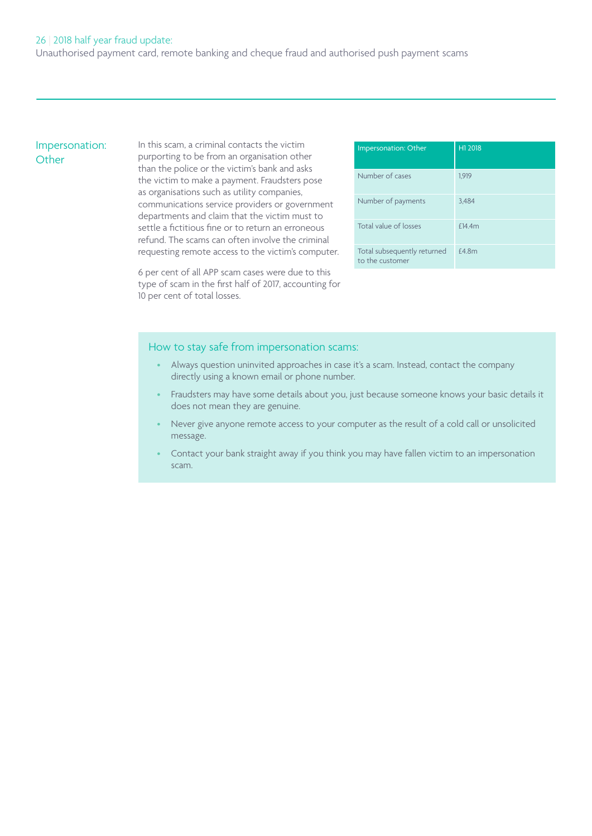# Impersonation: **Other**

In this scam, a criminal contacts the victim purporting to be from an organisation other than the police or the victim's bank and asks the victim to make a payment. Fraudsters pose as organisations such as utility companies, communications service providers or government departments and claim that the victim must to settle a fictitious fine or to return an erroneous refund. The scams can often involve the criminal requesting remote access to the victim's computer.

6 per cent of all APP scam cases were due to this type of scam in the first half of 2017, accounting for 10 per cent of total losses.

| Impersonation: Other                           | H1 2018 |
|------------------------------------------------|---------|
| Number of cases                                | 1.919   |
| Number of payments                             | 3,484   |
| Total value of losses                          | £14.4m  |
| Total subsequently returned<br>to the customer | £4.8m   |

### How to stay safe from impersonation scams:

- Always question uninvited approaches in case it's a scam. Instead, contact the company directly using a known email or phone number.
- Fraudsters may have some details about you, just because someone knows your basic details it does not mean they are genuine.
- Never give anyone remote access to your computer as the result of a cold call or unsolicited message.
- Contact your bank straight away if you think you may have fallen victim to an impersonation scam.